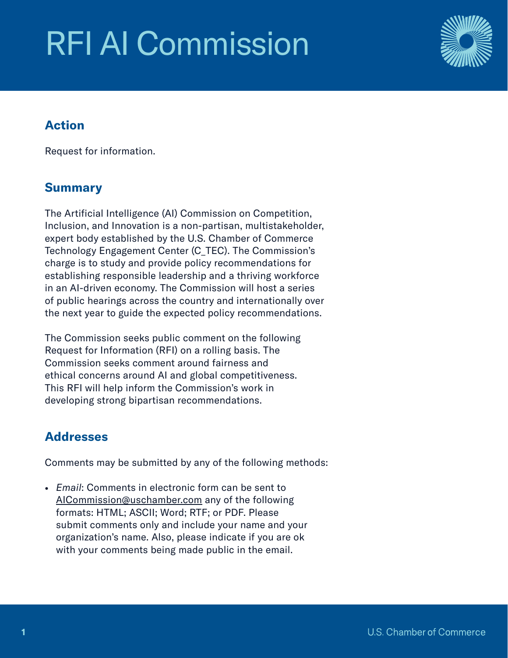# RFI AI Commission



## Action

Request for information.

# Summary

The Artificial Intelligence (AI) Commission on Competition, Inclusion, and Innovation is a non-partisan, multistakeholder, expert body established by the U.S. Chamber of Commerce Technology Engagement Center (C\_TEC). The Commission's charge is to study and provide policy recommendations for establishing responsible leadership and a thriving workforce in an AI-driven economy. The Commission will host a series of public hearings across the country and internationally over the next year to guide the expected policy recommendations.

The Commission seeks public comment on the following Request for Information (RFI) on a rolling basis. The Commission seeks comment around fairness and ethical concerns around AI and global competitiveness. This RFI will help inform the Commission's work in developing strong bipartisan recommendations.

# **Addresses**

Comments may be submitted by any of the following methods:

• *Email*: Comments in electronic form can be sent to [AICommission@uschamber.com](mailto:AICommission%40uschamber.com?subject=) any of the following formats: HTML; ASCII; Word; RTF; or PDF. Please submit comments only and include your name and your organization's name. Also, please indicate if you are ok with your comments being made public in the email.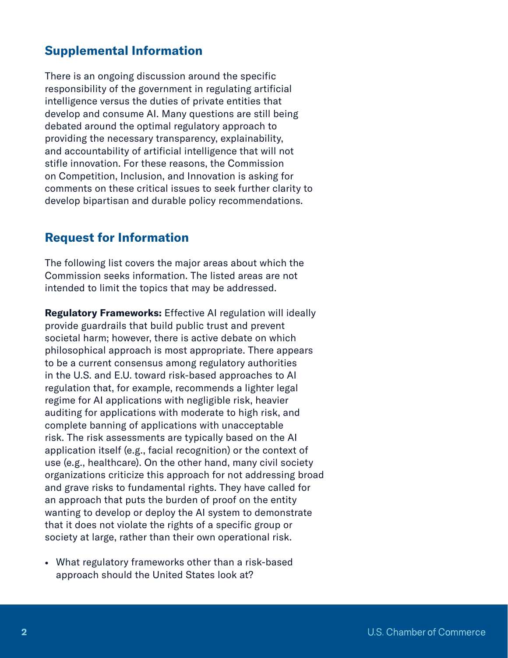### Supplemental Information

There is an ongoing discussion around the specific responsibility of the government in regulating artificial intelligence versus the duties of private entities that develop and consume AI. Many questions are still being debated around the optimal regulatory approach to providing the necessary transparency, explainability, and accountability of artificial intelligence that will not stifle innovation. For these reasons, the Commission on Competition, Inclusion, and Innovation is asking for comments on these critical issues to seek further clarity to develop bipartisan and durable policy recommendations.

#### Request for Information

The following list covers the major areas about which the Commission seeks information. The listed areas are not intended to limit the topics that may be addressed.

Regulatory Frameworks: Effective AI regulation will ideally provide guardrails that build public trust and prevent societal harm; however, there is active debate on which philosophical approach is most appropriate. There appears to be a current consensus among regulatory authorities in the U.S. and E.U. toward risk-based approaches to AI regulation that, for example, recommends a lighter legal regime for AI applications with negligible risk, heavier auditing for applications with moderate to high risk, and complete banning of applications with unacceptable risk. The risk assessments are typically based on the AI application itself (e.g., facial recognition) or the context of use (e.g., healthcare). On the other hand, many civil society organizations criticize this approach for not addressing broad and grave risks to fundamental rights. They have called for an approach that puts the burden of proof on the entity wanting to develop or deploy the AI system to demonstrate that it does not violate the rights of a specific group or society at large, rather than their own operational risk.

• What regulatory frameworks other than a risk-based approach should the United States look at?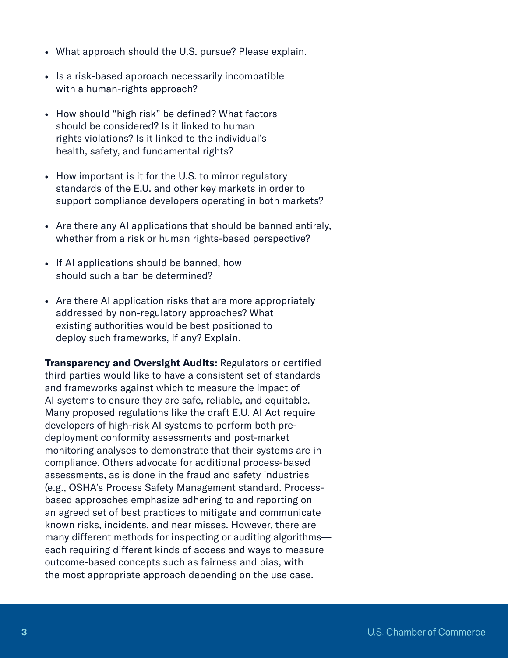- What approach should the U.S. pursue? Please explain.
- Is a risk-based approach necessarily incompatible with a human-rights approach?
- How should "high risk" be defined? What factors should be considered? Is it linked to human rights violations? Is it linked to the individual's health, safety, and fundamental rights?
- How important is it for the U.S. to mirror regulatory standards of the E.U. and other key markets in order to support compliance developers operating in both markets?
- Are there any AI applications that should be banned entirely, whether from a risk or human rights-based perspective?
- If AI applications should be banned, how should such a ban be determined?
- Are there AI application risks that are more appropriately addressed by non-regulatory approaches? What existing authorities would be best positioned to deploy such frameworks, if any? Explain.

**Transparency and Oversight Audits: Regulators or certified** third parties would like to have a consistent set of standards and frameworks against which to measure the impact of AI systems to ensure they are safe, reliable, and equitable. Many proposed regulations like the draft E.U. AI Act require developers of high-risk AI systems to perform both predeployment conformity assessments and post-market monitoring analyses to demonstrate that their systems are in compliance. Others advocate for additional process-based assessments, as is done in the fraud and safety industries (e.g., OSHA's Process Safety Management standard. Processbased approaches emphasize adhering to and reporting on an agreed set of best practices to mitigate and communicate known risks, incidents, and near misses. However, there are many different methods for inspecting or auditing algorithms each requiring different kinds of access and ways to measure outcome-based concepts such as fairness and bias, with the most appropriate approach depending on the use case.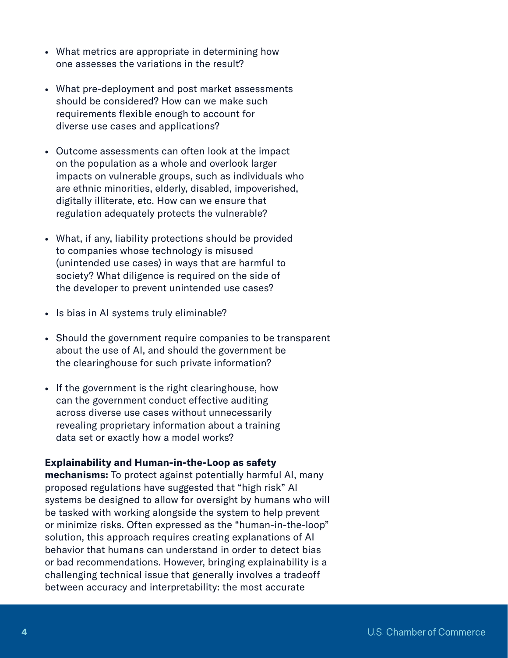- What metrics are appropriate in determining how one assesses the variations in the result?
- What pre-deployment and post market assessments should be considered? How can we make such requirements flexible enough to account for diverse use cases and applications?
- Outcome assessments can often look at the impact on the population as a whole and overlook larger impacts on vulnerable groups, such as individuals who are ethnic minorities, elderly, disabled, impoverished, digitally illiterate, etc. How can we ensure that regulation adequately protects the vulnerable?
- What, if any, liability protections should be provided to companies whose technology is misused (unintended use cases) in ways that are harmful to society? What diligence is required on the side of the developer to prevent unintended use cases?
- Is bias in AI systems truly eliminable?
- Should the government require companies to be transparent about the use of AI, and should the government be the clearinghouse for such private information?
- If the government is the right clearinghouse, how can the government conduct effective auditing across diverse use cases without unnecessarily revealing proprietary information about a training data set or exactly how a model works?

#### Explainability and Human-in-the-Loop as safety

mechanisms: To protect against potentially harmful AI, many proposed regulations have suggested that "high risk" AI systems be designed to allow for oversight by humans who will be tasked with working alongside the system to help prevent or minimize risks. Often expressed as the "human-in-the-loop" solution, this approach requires creating explanations of AI behavior that humans can understand in order to detect bias or bad recommendations. However, bringing explainability is a challenging technical issue that generally involves a tradeoff between accuracy and interpretability: the most accurate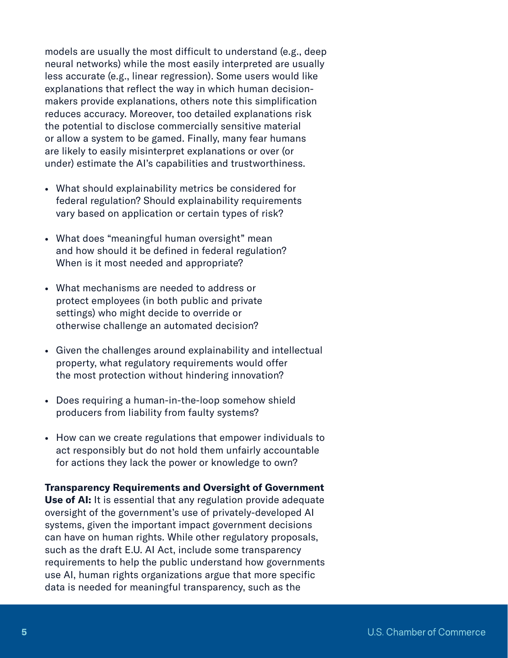models are usually the most difficult to understand (e.g., deep neural networks) while the most easily interpreted are usually less accurate (e.g., linear regression). Some users would like explanations that reflect the way in which human decisionmakers provide explanations, others note this simplification reduces accuracy. Moreover, too detailed explanations risk the potential to disclose commercially sensitive material or allow a system to be gamed. Finally, many fear humans are likely to easily misinterpret explanations or over (or under) estimate the AI's capabilities and trustworthiness.

- What should explainability metrics be considered for federal regulation? Should explainability requirements vary based on application or certain types of risk?
- What does "meaningful human oversight" mean and how should it be defined in federal regulation? When is it most needed and appropriate?
- What mechanisms are needed to address or protect employees (in both public and private settings) who might decide to override or otherwise challenge an automated decision?
- Given the challenges around explainability and intellectual property, what regulatory requirements would offer the most protection without hindering innovation?
- Does requiring a human-in-the-loop somehow shield producers from liability from faulty systems?
- How can we create regulations that empower individuals to act responsibly but do not hold them unfairly accountable for actions they lack the power or knowledge to own?

# Transparency Requirements and Oversight of Government

Use of AI: It is essential that any regulation provide adequate oversight of the government's use of privately-developed AI systems, given the important impact government decisions can have on human rights. While other regulatory proposals, such as the draft E.U. AI Act, include some transparency requirements to help the public understand how governments use AI, human rights organizations argue that more specific data is needed for meaningful transparency, such as the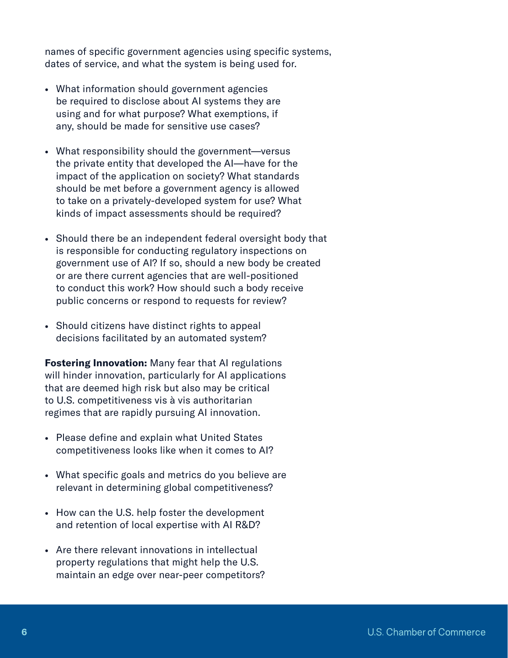names of specific government agencies using specific systems, dates of service, and what the system is being used for.

- What information should government agencies be required to disclose about AI systems they are using and for what purpose? What exemptions, if any, should be made for sensitive use cases?
- What responsibility should the government—versus the private entity that developed the AI—have for the impact of the application on society? What standards should be met before a government agency is allowed to take on a privately-developed system for use? What kinds of impact assessments should be required?
- Should there be an independent federal oversight body that is responsible for conducting regulatory inspections on government use of AI? If so, should a new body be created or are there current agencies that are well-positioned to conduct this work? How should such a body receive public concerns or respond to requests for review?
- Should citizens have distinct rights to appeal decisions facilitated by an automated system?

**Fostering Innovation:** Many fear that AI regulations will hinder innovation, particularly for AI applications that are deemed high risk but also may be critical to U.S. competitiveness vis à vis authoritarian regimes that are rapidly pursuing AI innovation.

- Please define and explain what United States competitiveness looks like when it comes to AI?
- What specific goals and metrics do you believe are relevant in determining global competitiveness?
- How can the U.S. help foster the development and retention of local expertise with AI R&D?
- Are there relevant innovations in intellectual property regulations that might help the U.S. maintain an edge over near-peer competitors?